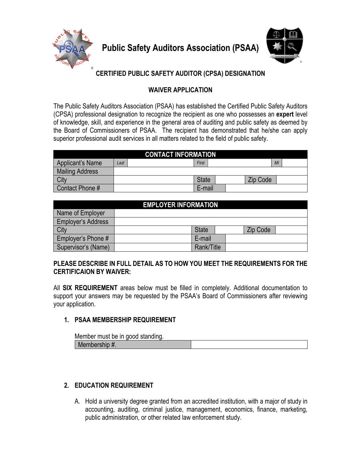

**Public Safety Auditors Association (PSAA)**



# **CERTIFIED PUBLIC SAFETY AUDITOR (CPSA) DESIGNATION**

# **WAIVER APPLICATION**

The Public Safety Auditors Association (PSAA) has established the Certified Public Safety Auditors (CPSA) professional designation to recognize the recipient as one who possesses an **expert** level of knowledge, skill, and experience in the general area of auditing and public safety as deemed by the Board of Commissioners of PSAA. The recipient has demonstrated that he/she can apply superior professional audit services in all matters related to the field of public safety.

| <b>CONTACT INFORMATION</b> |      |  |              |  |  |                 |    |
|----------------------------|------|--|--------------|--|--|-----------------|----|
| Applicant's Name           | Last |  | First        |  |  |                 | MI |
| Mailing Address            |      |  |              |  |  |                 |    |
| City                       |      |  | <b>State</b> |  |  | <b>Zip Code</b> |    |
| Contact Phone #            |      |  | E-mail       |  |  |                 |    |

| <b>EMPLOYER INFORMATION</b> |  |              |  |  |                 |  |
|-----------------------------|--|--------------|--|--|-----------------|--|
| Name of Employer            |  |              |  |  |                 |  |
| <b>Employer's Address</b>   |  |              |  |  |                 |  |
| City                        |  | <b>State</b> |  |  | <b>Zip Code</b> |  |
| Employer's Phone #          |  | E-mail       |  |  |                 |  |
| Supervisor's (Name)         |  | Rank/Title   |  |  |                 |  |

# **PLEASE DESCRIBE IN FULL DETAIL AS TO HOW YOU MEET THE REQUIREMENTS FOR THE CERTIFICAION BY WAIVER:**

All **SIX REQUIREMENT** areas below must be filled in completely. Additional documentation to support your answers may be requested by the PSAA's Board of Commissioners after reviewing your application.

# **1. PSAA MEMBERSHIP REQUIREMENT**

| Member must be in good standing. |  |
|----------------------------------|--|
| Membership #.                    |  |

# **2. EDUCATION REQUIREMENT**

A. Hold a university degree granted from an accredited institution, with a major of study in accounting, auditing, criminal justice, management, economics, finance, marketing, public administration, or other related law enforcement study.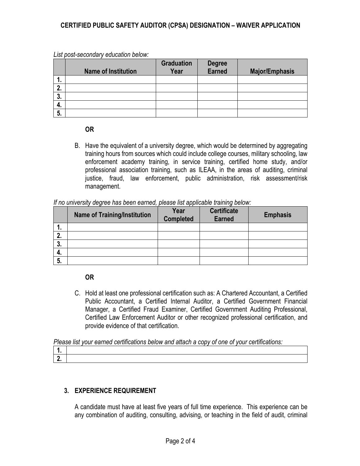## **CERTIFIED PUBLIC SAFETY AUDITOR (CPSA) DESIGNATION – WAIVER APPLICATION**

|    | <b>Name of Institution</b> | <b>Graduation</b><br>Year | <b>Degree</b><br><b>Earned</b> | <b>Major/Emphasis</b> |
|----|----------------------------|---------------------------|--------------------------------|-----------------------|
| 1. |                            |                           |                                |                       |
| 2. |                            |                           |                                |                       |
| 3. |                            |                           |                                |                       |
| 4. |                            |                           |                                |                       |
| 5. |                            |                           |                                |                       |

*List post-secondary education below:*

### **OR**

B. Have the equivalent of a university degree, which would be determined by aggregating training hours from sources which could include college courses, military schooling, law enforcement academy training, in service training, certified home study, and/or professional association training, such as ILEAA, in the areas of auditing, criminal justice, fraud, law enforcement, public administration, risk assessment/risk management.

|          | <b>Name of Training/Institution</b> | Year<br>Completed | <b>Certificate</b><br><b>Earned</b> | <b>Emphasis</b> |
|----------|-------------------------------------|-------------------|-------------------------------------|-----------------|
|          |                                     |                   |                                     |                 |
| כי<br>z. |                                     |                   |                                     |                 |
| כי<br>J. |                                     |                   |                                     |                 |
| 4.       |                                     |                   |                                     |                 |
| 5.       |                                     |                   |                                     |                 |

|  |  |  | If no university degree has been earned, please list applicable training below: |
|--|--|--|---------------------------------------------------------------------------------|
|  |  |  |                                                                                 |

#### **OR**

C. Hold at least one professional certification such as: A Chartered Accountant, a Certified Public Accountant, a Certified Internal Auditor, a Certified Government Financial Manager, a Certified Fraud Examiner, Certified Government Auditing Professional, Certified Law Enforcement Auditor or other recognized professional certification, and provide evidence of that certification.

*Please list your earned certifications below and attach a copy of one of your certifications:*

# **3. EXPERIENCE REQUIREMENT**

A candidate must have at least five years of full time experience. This experience can be any combination of auditing, consulting, advising, or teaching in the field of audit, criminal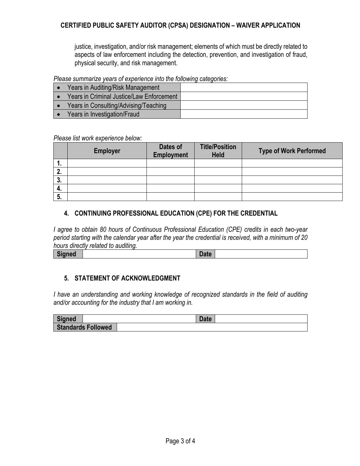## **CERTIFIED PUBLIC SAFETY AUDITOR (CPSA) DESIGNATION – WAIVER APPLICATION**

justice, investigation, and/or risk management; elements of which must be directly related to aspects of law enforcement including the detection, prevention, and investigation of fraud, physical security, and risk management.

#### *Please summarize years of experience into the following categories:*

| $\bullet$ | Years in Auditing/Risk Management         |  |
|-----------|-------------------------------------------|--|
|           | Years in Criminal Justice/Law Enforcement |  |
|           | Years in Consulting/Advising/Teaching     |  |
|           | Years in Investigation/Fraud              |  |

#### *Please list work experience below:*

|    | <b>Employer</b> | Dates of<br><b>Employment</b> | <b>Title/Position</b><br><b>Held</b> | <b>Type of Work Performed</b> |
|----|-----------------|-------------------------------|--------------------------------------|-------------------------------|
| ъ. |                 |                               |                                      |                               |
| 2. |                 |                               |                                      |                               |
| 3. |                 |                               |                                      |                               |
| 4. |                 |                               |                                      |                               |
| 5. |                 |                               |                                      |                               |

## **4. CONTINUING PROFESSIONAL EDUCATION (CPE) FOR THE CREDENTIAL**

*I agree to obtain 80 hours of Continuous Professional Education (CPE) credits in each two-year period starting with the calendar year after the year the credential is received, with a minimum of 20 hours directly related to auditing.*

### **5. STATEMENT OF ACKNOWLEDGMENT**

*I have an understanding and working knowledge of recognized standards in the field of auditing and/or accounting for the industry that I am working in.*

| Signed                    | <b>Date</b> |
|---------------------------|-------------|
| <b>Standards Followed</b> |             |